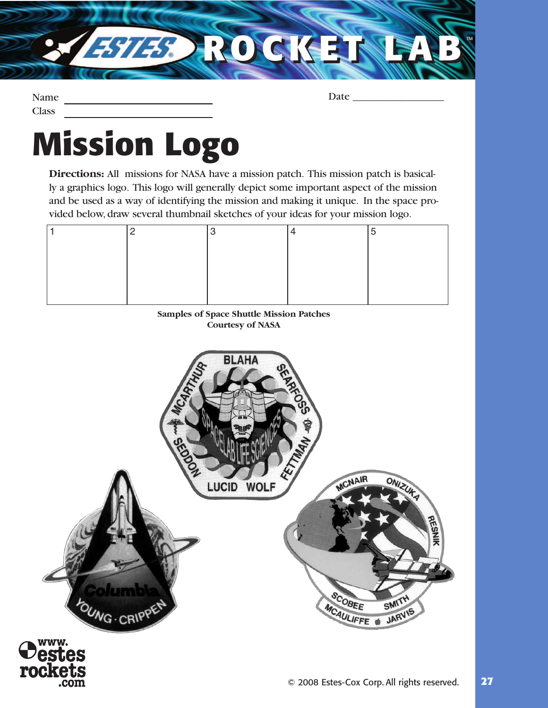

Name **Class** 

Date \_\_\_\_\_\_\_\_\_\_\_\_\_\_\_\_\_

## **Mission Logo**

**Directions:** All missions for NASA have a mission patch. This mission patch is basically a graphics logo. This logo will generally depict some important aspect of the mission and be used as a way of identifying the mission and making it unique. In the space provided below, draw several thumbnail sketches of your ideas for your mission logo.

|  |  | C |
|--|--|---|
|  |  |   |
|  |  |   |
|  |  |   |
|  |  |   |
|  |  |   |

## **Samples of Space Shuttle Mission Patches Courtesy of NASA**

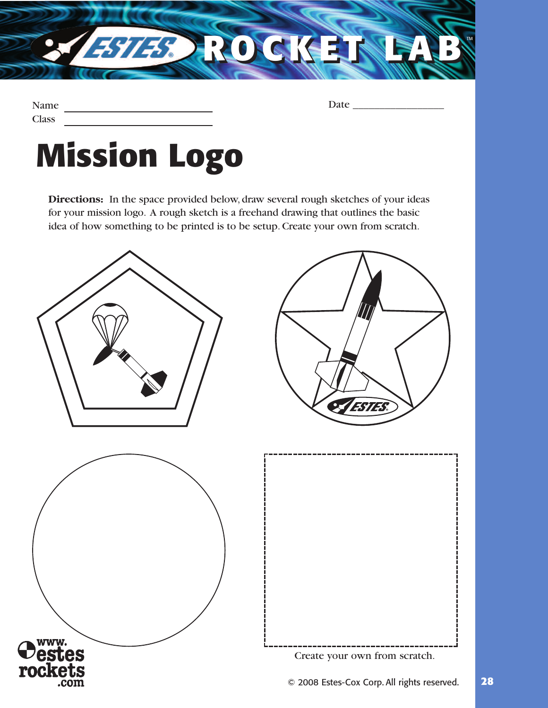

| Name         |  |
|--------------|--|
| <b>Class</b> |  |

Date \_\_\_\_\_\_\_\_\_\_\_\_\_\_\_\_\_

## **Mission Logo**

**Directions:** In the space provided below, draw several rough sketches of your ideas for your mission logo. A rough sketch is a freehand drawing that outlines the basic idea of how something to be printed is to be setup. Create your own from scratch.